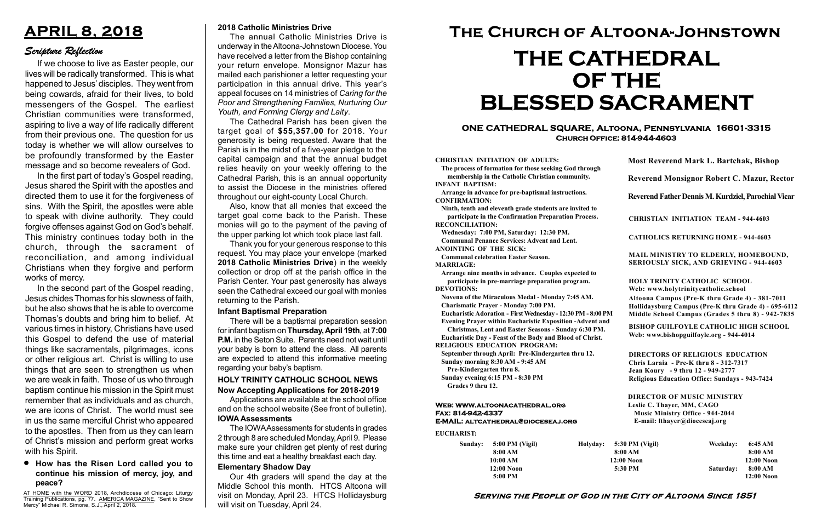#### Serving the People of God in the City of Altoona Since 1851

Sunday: 5:00 PM (Vigil) 8:00 AM 10:00 AM 12:00 Noon 5:00 PM Holyday:

#### Web: www.altoonacathedral.org Fax: 814-942-4337 E-MAIL: altcathedral@dioceseaj.org

EUCHARIST:

#### CHRISTIAN INITIATION OF ADULTS:

The process of formation for those seeking God through membership in the Catholic Christian community. INFANT BAPTISM:

Arrange in advance for pre-baptismal instructions. CONFIRMATION:

Ninth, tenth and eleventh grade students are invited to participate in the Confirmation Preparation Process. RECONCILIATION:

Wednesday: 7:00 PM, Saturday: 12:30 PM. Communal Penance Services: Advent and Lent.

ANOINTING OF THE SICK:

Communal celebration Easter Season. MARRIAGE:

Arrange nine months in advance. Couples expected to participate in pre-marriage preparation program. DEVOTIONS:

Novena of the Miraculous Medal - Monday 7:45 AM.

Charismatic Prayer - Monday 7:00 PM. Eucharistic Adoration - First Wednesday - 12:30 PM - 8:00 PM

Evening Prayer within Eucharistic Exposition -Advent and

Christmas, Lent and Easter Seasons - Sunday 6:30 PM. Eucharistic Day - Feast of the Body and Blood of Christ.

|                       | <b>Most Reverend Mark L. Bartchak, Bishop</b><br>Reverend Monsignor Robert C. Mazur, Rector                                                                                     |           |                         |
|-----------------------|---------------------------------------------------------------------------------------------------------------------------------------------------------------------------------|-----------|-------------------------|
|                       |                                                                                                                                                                                 |           |                         |
|                       | Reverend Father Dennis M. Kurdziel, Parochial Vicar                                                                                                                             |           |                         |
|                       | <b>CHRISTIAN INITIATION TEAM - 944-4603</b>                                                                                                                                     |           |                         |
|                       | <b>CATHOLICS RETURNING HOME - 944-4603</b>                                                                                                                                      |           |                         |
|                       | MAIL MINISTRY TO ELDERLY, HOMEBOUND,<br>SERIOUSLY SICK, AND GRIEVING - 944-4603                                                                                                 |           |                         |
|                       | <b>HOLY TRINITY CATHOLIC SCHOOL</b><br>Web: www.holytrinitycatholic.school                                                                                                      |           |                         |
| М                     | Altoona Campus (Pre-K thru Grade 4) - 381-7011<br>Hollidaysburg Campus (Pre-K thru Grade 4) - 695-6112<br>Middle School Campus (Grades 5 thru 8) - 942-7835                     |           |                         |
| ł                     | <b>BISHOP GUILFOYLE CATHOLIC HIGH SCHOOL</b><br>Web: www.bishopguilfoyle.org - 944-4014                                                                                         |           |                         |
|                       | <b>DIRECTORS OF RELIGIOUS EDUCATION</b><br>Chris Laraia - Pre-K thru 8 - 312-7317<br>Jean Koury - 9 thru 12 - 949-2777<br><b>Religious Education Office: Sundays - 943-7424</b> |           |                         |
|                       | <b>DIRECTOR OF MUSIC MINISTRY</b><br>Leslie C. Thayer, MM, CAGO<br><b>Music Ministry Office - 944-2044</b><br>E-mail: lthayer@dioceseaj.org                                     |           |                         |
| 5:30 PM (Vigil)       |                                                                                                                                                                                 | Weekday:  | 6:45 AM                 |
| 8:00 AM<br>12:00 Noon |                                                                                                                                                                                 |           | 8:00 AM<br>12:00 Noon   |
| 5:30 PM               |                                                                                                                                                                                 | Saturday: | 8:00 AM<br>$12:00$ Noon |
|                       |                                                                                                                                                                                 |           |                         |

RELIGIOUS EDUCATION PROGRAM:

September through April: Pre-Kindergarten thru 12. Sunday morning 8:30 AM - 9:45 AM

Pre-Kindergarten thru 8.

Sunday evening 6:15 PM - 8:30 PM Grades 9 thru 12.

AT HOME with the WORD 2018, Archdiocese of Chicago: Liturgy Training Publications, pg. 77. AMERICA MAGAZINE, "Sent to Show Mercy" Michael R. Simone, S.J., April 2, 2018.

#### ONE CATHEDRAL SQUARE, Altoona, Pennsylvania 16601-3315 Church Office: 814-944-4603

# The Church of Altoona-Johnstown THE CATHEDRAL OF THE BLESSED SACRAMENT

#### 2018 Catholic Ministries Drive

The annual Catholic Ministries Drive is underway in the Altoona-Johnstown Diocese. You have received a letter from the Bishop containing your return envelope. Monsignor Mazur has mailed each parishioner a letter requesting your participation in this annual drive. This year's appeal focuses on 14 ministries of Caring for the Poor and Strengthening Families, Nurturing Our Youth, and Forming Clergy and Laity.

The Cathedral Parish has been given the target goal of \$55,357.00 for 2018. Your generosity is being requested. Aware that the Parish is in the midst of a five-year pledge to the capital campaign and that the annual budget relies heavily on your weekly offering to the Cathedral Parish, this is an annual opportunity to assist the Diocese in the ministries offered throughout our eight-county Local Church.

Also, know that all monies that exceed the target goal come back to the Parish. These monies will go to the payment of the paving of the upper parking lot which took place last fall.

Thank you for your generous response to this request. You may place your envelope (marked 2018 Catholic Ministries Drive) in the weekly collection or drop off at the parish office in the Parish Center. Your past generosity has always seen the Cathedral exceed our goal with monies returning to the Parish.

#### Now Accepting Applications for 2018-2019 HOLY TRINITY CATHOLIC SCHOOL NEWS

Applications are available at the school office and on the school website (See front of bulletin). IOWA Assessments

The IOWA Assessments for students in grades 2 through 8 are scheduled Monday, April 9. Please make sure your children get plenty of rest during this time and eat a healthy breakfast each day.

#### Elementary Shadow Day

Our 4th graders will spend the day at the Middle School this month. HTCS Altoona will visit on Monday, April 23. HTCS Hollidaysburg will visit on Tuesday, April 24.

# APRIL 8, 2018

# Scripture Reflection

### How has the Risen Lord called you to continue his mission of mercy, joy, and peace?

If we choose to live as Easter people, our lives will be radically transformed. This is what happened to Jesus' disciples. They went from being cowards, afraid for their lives, to bold messengers of the Gospel. The earliest Christian communities were transformed, aspiring to live a way of life radically different from their previous one. The question for us today is whether we will allow ourselves to be profoundly transformed by the Easter message and so become revealers of God.

In the first part of today's Gospel reading, Jesus shared the Spirit with the apostles and directed them to use it for the forgiveness of sins. With the Spirit, the apostles were able to speak with divine authority. They could forgive offenses against God on God's behalf. This ministry continues today both in the church, through the sacrament of reconciliation, and among individual Christians when they forgive and perform works of mercy.

In the second part of the Gospel reading, Jesus chides Thomas for his slowness of faith, but he also shows that he is able to overcome Thomas's doubts and bring him to belief. At various times in history, Christians have used this Gospel to defend the use of material things like sacramentals, pilgrimages, icons or other religious art. Christ is willing to use things that are seen to strengthen us when we are weak in faith. Those of us who through baptism continue his mission in the Spirit must remember that as individuals and as church, we are icons of Christ. The world must see in us the same merciful Christ who appeared to the apostles. Then from us they can learn of Christ's mission and perform great works with his Spirit.

#### Infant Baptismal Preparation

There will be a baptismal preparation session for infant baptism on Thursday, April 19th, at 7:00 P.M. in the Seton Suite. Parents need not wait until your baby is born to attend the class. All parents are expected to attend this informative meeting regarding your baby's baptism.